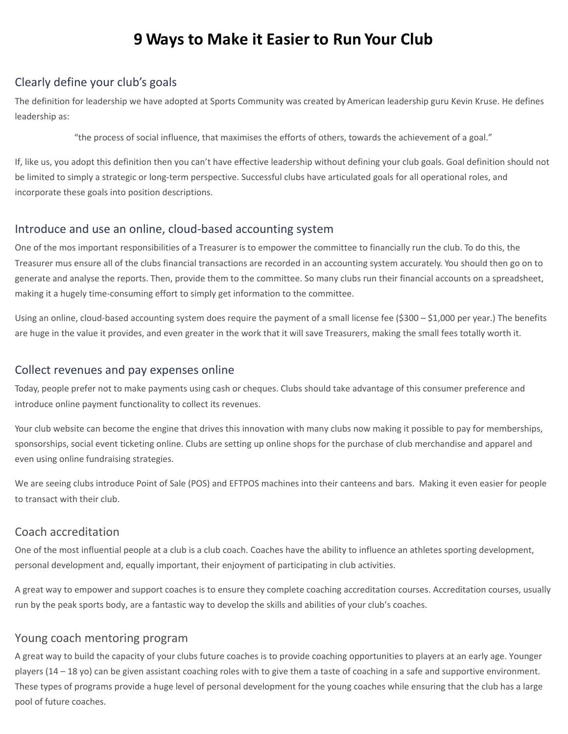# **9 Ways to Make it Easier to Run Your Club**

## Clearly define your club's goals

The definition for leadership we have adopted at Sports Community was created by American leadership guru Kevin Kruse. He defines leadership as:

"the process of social influence, that maximises the efforts of others, towards the achievement of a goal."

If, like us, you adopt this definition then you can't have effective leadership without defining your club goals. Goal definition should not be limited to simply a strategic or long-term perspective. Successful clubs have articulated goals for all operational roles, and incorporate these goals into position descriptions.

# Introduce and use an online, cloud-based accounting system

One of the mos important responsibilities of a Treasurer is to empower the committee to financially run the club. To do this, the Treasurer mus ensure all of the clubs financial transactions are recorded in an accounting system accurately. You should then go on to generate and analyse the reports. Then, provide them to the committee. So many clubs run their financial accounts on a spreadsheet, making it a hugely time-consuming effort to simply get information to the committee.

Using an online, cloud-based accounting system does require the payment of a small license fee (\$300 – \$1,000 per year.) The benefits are huge in the value it provides, and even greater in the work that it will save Treasurers, making the small fees totally worth it.

#### Collect revenues and pay expenses online

Today, people prefer not to make payments using cash or cheques. Clubs should take advantage of this consumer preference and introduce online payment functionality to collect its revenues.

Your club website can become the engine that drives this innovation with many clubs now making it possible to pay for memberships, sponsorships, social event ticketing online. Clubs are setting up online shops for the purchase of club merchandise and apparel and even using online fundraising strategies.

We are seeing clubs introduce Point of Sale (POS) and EFTPOS machines into their canteens and bars. Making it even easier for people to transact with their club.

## Coach accreditation

One of the most influential people at a club is a club coach. Coaches have the ability to influence an athletes sporting development, personal development and, equally important, their enjoyment of participating in club activities.

A great way to empower and support coaches is to ensure they complete coaching accreditation courses. Accreditation courses, usually run by the peak sports body, are a fantastic way to develop the skills and abilities of your club's coaches.

## Young coach mentoring program

A great way to build the capacity of your clubs future coaches is to provide coaching opportunities to players at an early age. Younger players (14 – 18 yo) can be given assistant coaching roles with to give them a taste of coaching in a safe and supportive environment. These types of programs provide a huge level of personal development for the young coaches while ensuring that the club has a large pool of future coaches.